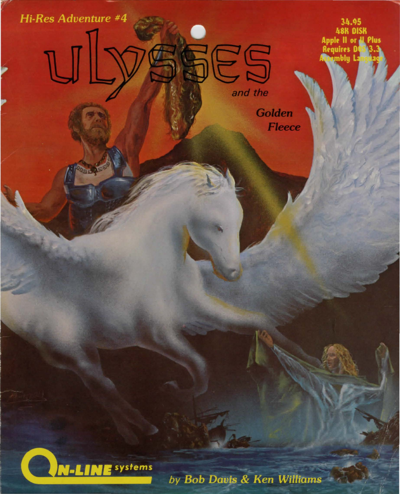Hi-Res Adventure #4 ulysses

34.95 **ASK DISK** Annie II or equires mblu l

**INE** systems

by Bob Davis & Ken Williams

and the

**Golden Fleece**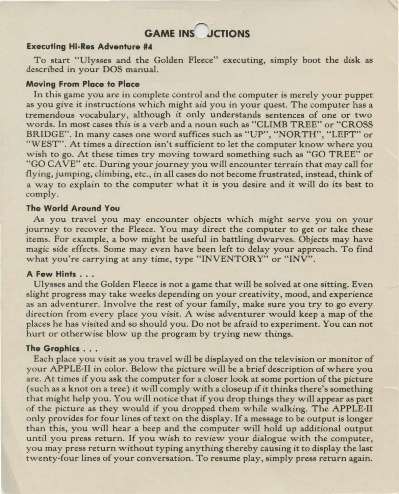# **GAME INS** JCTIONS

# **Executing Hi-Res Adventure #4**

To start "Ulysses and the Golden Fleece" executing, simply boot the disk as described in your DOS manual.

# **Moving From Place to Place**

In this game you are in complete control and the computer is merely your puppet as you give it instructions which might aid you in your quest. The computer has a tremendous vocabulary, although it only understands sentences of one or two words. In most cases this is a verb and a noun such as "CLIMB TREE" or "CROSS BRIDGE". In many cases one word suffices such as "UP", "NORTH", "LEFT" or "WEST". At times a direction isn't sufficient to let the computer know where you wish to go. At these times try moving toward something such as "GO TREE" or "GO CA *VE"* etc. During your journey you will encounter terrain that may call for flying, jumping, climbing, etc., in all cases do not become frustrated, instead, think of a way to explain to the computer what it is you desire and it will do its best to comply.

#### **The World Around You**

As you travel you may encounter objects which might serve you on your journey to recover the Fleece. You may direct the computer *to* get or take these items. For example, a bow might be useful in battling dwarves. Objects may have magic side effects. Some may even have been left *to* delay your approach. To find what you're carrying at any time, type "INVENTORY" or "INV".

#### **A Few Hints ...**

Ulysses and the Golden Fleece is not a game that will be solved at one sitting. Even slight progress may take weeks depending on your creativity, mood, and experience as an adventurer. Involve the rest of your family, make sure you try to go every direction from every place you visit. A wise adventurer would keep a map of the places he has visited and so should you. Do not be afraid to experiment. You can not hurt or otherwise blow up the program by trying new things.

#### **The Graphics** ...

Each place you visit as you travel will be displayed on the television or monitor of your APPLE-II in color. Below the picture will be a brief description of where you are. At times if you ask the computer for a closer look at some portion of the picture (such as a knot on a tree) it will comply with a closeup if it thinks there's something that might help you. You will notice that if you drop things they will appear as part of the picture as they would if you dropped them while walking. The APPLE-II only provides for four lines of text on the display. If a message to be output is longer than this, you will hear a beep and the computer will hold up additional output until you press return. If you wish to review your dialogue with the computer, you may press return without typing anything thereby causing it to display the last twenty-four lines of your conversation. To resume play, simply press return again.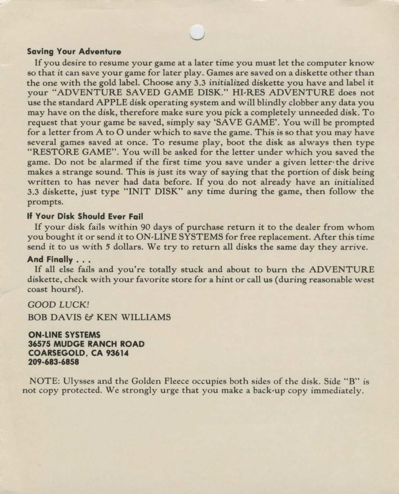#### **Saving Your Adventure**

If you desire to resume your game at a later time you must let the computer know so that it can save your game for later play. Games are saved on a diskette other than the one with the gold label. Choose any 3.3 initialized diskette you have and label it your "ADVENTURE SAVED GAME DISK." HI-RES ADVENTURE does not use the standard APPLE disk operating system and will blindly clobber any data you may have on the disk, therefore make sure you pick a completely unneeded disk. To request that your game be saved, simply say 'SA VE GAME'. You will be prompted for a letter from A to 0 under which to save the game. This is so that you may have several games saved at once. To resume play, boot the disk as always then type "RESTORE GAME". You will be asked for the letter under which you saved the game. Do not be alarmed if the first time you save under a given letter the drive makes a strange sound. This is just its way of saying that the portion of disk being written to has never had data before. If you do not already have an initialized 3.3 diskette, just type "INIT DISK" any time during the game, then follow the prompts.

### If **Your Disk Should Ever Fall**

If your disk fails within 90 days of purchase return it to the dealer from whom you bought it or send it to ON-LINE SYSTEMS for free replacement. After this time send it to us with *5* dollars. We try to return all disks the same day they arrive.

#### **And Finally** ...

If all else fails and you're totally stuck and about to burn the ADVENTURE diskette, check with your favorite store for a hint or call us (during reasonable west coast hours!).

GOOD *LUCK!* 

BOB DAVIS & KEN WILLIAMS

**ON-LINE SYSTEMS 36575 MUDGE RANCH ROAD COARSEGOLD, CA 93614 209-683-6858** 

NOTE: Ulysses and the Golden Fleece occupies both sides of the disk. Side "B" is not copy protected. We strongly urge that you make a back-up copy immediately.